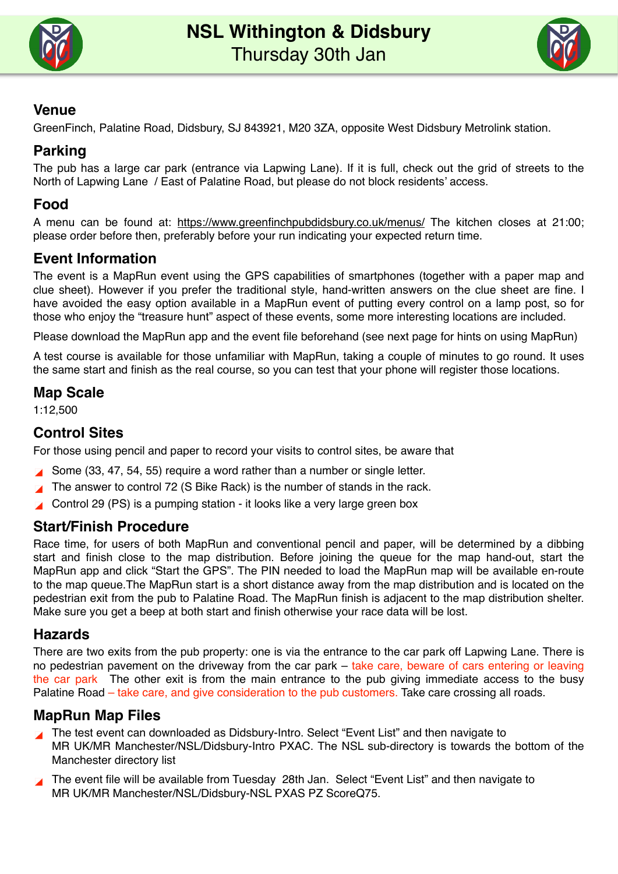



# **Venue**

GreenFinch, Palatine Road, Didsbury, SJ 843921, M20 3ZA, opposite West Didsbury Metrolink station.

# **Parking**

The pub has a large car park (entrance via Lapwing Lane). If it is full, check out the grid of streets to the North of Lapwing Lane / East of Palatine Road, but please do not block residents' access.

# **Food**

A menu can be found at: <https://www.greenfinchpubdidsbury.co.uk/menus/> The kitchen closes at 21:00; please order before then, preferably before your run indicating your expected return time.

# **Event Information**

The event is a MapRun event using the GPS capabilities of smartphones (together with a paper map and clue sheet). However if you prefer the traditional style, hand-written answers on the clue sheet are fine. I have avoided the easy option available in a MapRun event of putting every control on a lamp post, so for those who enjoy the "treasure hunt" aspect of these events, some more interesting locations are included.

Please download the MapRun app and the event file beforehand (see next page for hints on using MapRun)

A test course is available for those unfamiliar with MapRun, taking a couple of minutes to go round. It uses the same start and finish as the real course, so you can test that your phone will register those locations.

#### **Map Scale**

1:12,500

# **Control Sites**

For those using pencil and paper to record your visits to control sites, be aware that

- Some (33, 47, 54, 55) require a word rather than a number or single letter.
- The answer to control 72 (S Bike Rack) is the number of stands in the rack.
- **Control 29 (PS) is a pumping station it looks like a very large green box**

#### **Start/Finish Procedure**

Race time, for users of both MapRun and conventional pencil and paper, will be determined by a dibbing start and finish close to the map distribution. Before joining the queue for the map hand-out, start the MapRun app and click "Start the GPS". The PIN needed to load the MapRun map will be available en-route to the map queue.The MapRun start is a short distance away from the map distribution and is located on the pedestrian exit from the pub to Palatine Road. The MapRun finish is adjacent to the map distribution shelter. Make sure you get a beep at both start and finish otherwise your race data will be lost.

#### **Hazards**

There are two exits from the pub property: one is via the entrance to the car park off Lapwing Lane. There is no pedestrian pavement on the driveway from the car park – take care, beware of cars entering or leaving the car park The other exit is from the main entrance to the pub giving immediate access to the busy Palatine Road – take care, and give consideration to the pub customers. Take care crossing all roads.

#### **MapRun Map Files**

- The test event can downloaded as Didsbury-Intro. Select "Event List" and then navigate to MR UK/MR Manchester/NSL/Didsbury-Intro PXAC. The NSL sub-directory is towards the bottom of the Manchester directory list
- The event file will be available from Tuesday 28th Jan. Select "Event List" and then navigate to MR UK/MR Manchester/NSL/Didsbury-NSL PXAS PZ ScoreQ75.